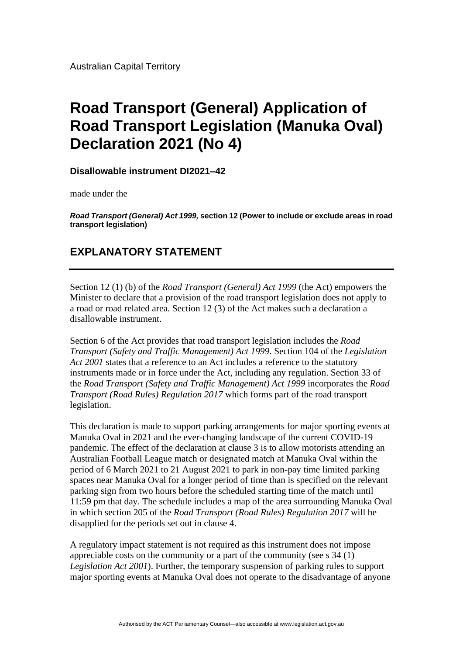Australian Capital Territory

## **Road Transport (General) Application of Road Transport Legislation (Manuka Oval) Declaration 2021 (No 4)**

**Disallowable instrument DI2021–42**

made under the

*Road Transport (General) Act 1999,* **section 12 (Power to include or exclude areas in road transport legislation)**

## **EXPLANATORY STATEMENT**

Section 12 (1) (b) of the *Road Transport (General) Act 1999* (the Act) empowers the Minister to declare that a provision of the road transport legislation does not apply to a road or road related area. Section 12 (3) of the Act makes such a declaration a disallowable instrument.

Section 6 of the Act provides that road transport legislation includes the *Road Transport (Safety and Traffic Management) Act 1999*. Section 104 of the *Legislation Act 2001* states that a reference to an Act includes a reference to the statutory instruments made or in force under the Act, including any regulation. Section 33 of the *Road Transport (Safety and Traffic Management) Act 1999* incorporates the *Road Transport (Road Rules) Regulation 2017* which forms part of the road transport legislation.

This declaration is made to support parking arrangements for major sporting events at Manuka Oval in 2021 and the ever-changing landscape of the current COVID-19 pandemic. The effect of the declaration at clause 3 is to allow motorists attending an Australian Football League match or designated match at Manuka Oval within the period of 6 March 2021 to 21 August 2021 to park in non-pay time limited parking spaces near Manuka Oval for a longer period of time than is specified on the relevant parking sign from two hours before the scheduled starting time of the match until 11:59 pm that day. The schedule includes a map of the area surrounding Manuka Oval in which section 205 of the *Road Transport (Road Rules) Regulation 2017* will be disapplied for the periods set out in clause 4.

A regulatory impact statement is not required as this instrument does not impose appreciable costs on the community or a part of the community (see s 34 (1) *Legislation Act 2001*). Further, the temporary suspension of parking rules to support major sporting events at Manuka Oval does not operate to the disadvantage of anyone